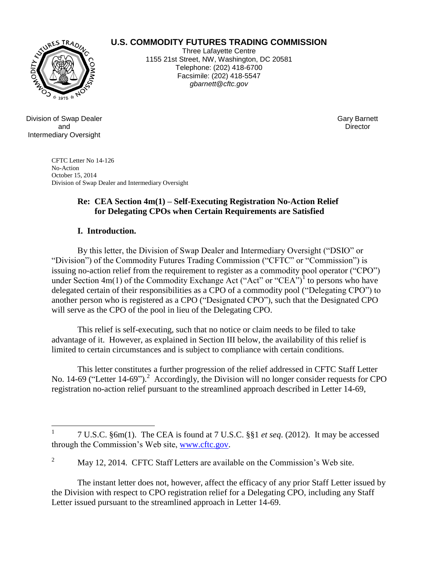# **U.S. COMMODITY FUTURES TRADING COMMISSION**



Three Lafayette Centre 1155 21st Street, NW, Washington, DC 20581 Telephone: (202) 418-6700 Facsimile: (202) 418-5547 *gbarnett@cftc.gov*

Division of Swap Dealer and Intermediary Oversight

Gary Barnett **Director** 

CFTC Letter No 14-126 No-Action October 15, 2014 Division of Swap Dealer and Intermediary Oversight

#### **Re: CEA Section 4m(1) – Self-Executing Registration No-Action Relief for Delegating CPOs when Certain Requirements are Satisfied**

#### **I. Introduction.**

By this letter, the Division of Swap Dealer and Intermediary Oversight ("DSIO" or "Division") of the Commodity Futures Trading Commission ("CFTC" or "Commission") is issuing no-action relief from the requirement to register as a commodity pool operator ("CPO") under Section  $4m(1)$  of the Commodity Exchange Act ("Act" or "CEA")<sup>1</sup> to persons who have delegated certain of their responsibilities as a CPO of a commodity pool ("Delegating CPO") to another person who is registered as a CPO ("Designated CPO"), such that the Designated CPO will serve as the CPO of the pool in lieu of the Delegating CPO.

This relief is self-executing, such that no notice or claim needs to be filed to take advantage of it. However, as explained in Section III below, the availability of this relief is limited to certain circumstances and is subject to compliance with certain conditions.

This letter constitutes a further progression of the relief addressed in CFTC Staff Letter No. 14-69 ("Letter 14-69").<sup>2</sup> Accordingly, the Division will no longer consider requests for CPO registration no-action relief pursuant to the streamlined approach described in Letter 14-69,

The instant letter does not, however, affect the efficacy of any prior Staff Letter issued by the Division with respect to CPO registration relief for a Delegating CPO, including any Staff Letter issued pursuant to the streamlined approach in Letter 14-69.

 $\frac{1}{1}$ 7 U.S.C. §6m(1). The CEA is found at 7 U.S.C. §§1 *et seq*. (2012). It may be accessed through the Commission's Web site, [www.cftc.gov.](http://www.cftc.gov/)

 $\overline{2}$ <sup>2</sup> May 12, 2014. CFTC Staff Letters are available on the Commission's Web site.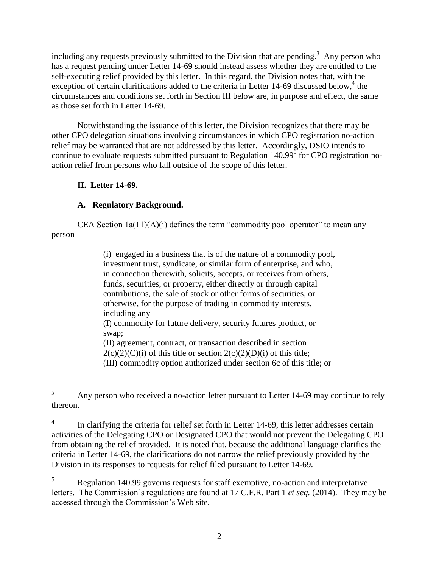including any requests previously submitted to the Division that are pending.<sup>3</sup> Any person who has a request pending under Letter 14-69 should instead assess whether they are entitled to the self-executing relief provided by this letter. In this regard, the Division notes that, with the exception of certain clarifications added to the criteria in Letter 14-69 discussed below,<sup>4</sup> the circumstances and conditions set forth in Section III below are, in purpose and effect, the same as those set forth in Letter 14-69.

Notwithstanding the issuance of this letter, the Division recognizes that there may be other CPO delegation situations involving circumstances in which CPO registration no-action relief may be warranted that are not addressed by this letter. Accordingly, DSIO intends to continue to evaluate requests submitted pursuant to Regulation 140.99 $\frac{5}{5}$  for CPO registration noaction relief from persons who fall outside of the scope of this letter.

### **II. Letter 14-69.**

## **A. Regulatory Background.**

CEA Section  $1a(11)(A)(i)$  defines the term "commodity pool operator" to mean any person –

> (i)engaged in a business that is of the nature of a commodity pool, investment trust, syndicate, or similar form of enterprise, and who, in connection therewith, solicits, accepts, or receives from others, funds, securities, or property, either directly or through capital contributions, the sale of stock or other forms of securities, or otherwise, for the purpose of trading in commodity interests, including any – (I) commodity for future delivery, security futures product, or swap; (II) agreement, contract, or transaction described in section  $2(c)(2)(C)(i)$  of this title or section  $2(c)(2)(D)(i)$  of this title; (III) commodity option authorized under section [6c](http://www.law.cornell.edu/uscode/text/7/6c) of this title; or

 $\overline{a}$ <sup>3</sup> Any person who received a no-action letter pursuant to Letter 14-69 may continue to rely thereon.

<sup>4</sup> In clarifying the criteria for relief set forth in Letter 14-69, this letter addresses certain activities of the Delegating CPO or Designated CPO that would not prevent the Delegating CPO from obtaining the relief provided. It is noted that, because the additional language clarifies the criteria in Letter 14-69, the clarifications do not narrow the relief previously provided by the Division in its responses to requests for relief filed pursuant to Letter 14-69.

<sup>5</sup> Regulation 140.99 governs requests for staff exemptive, no-action and interpretative letters. The Commission's regulations are found at 17 C.F.R. Part 1 *et seq.* (2014). They may be accessed through the Commission's Web site.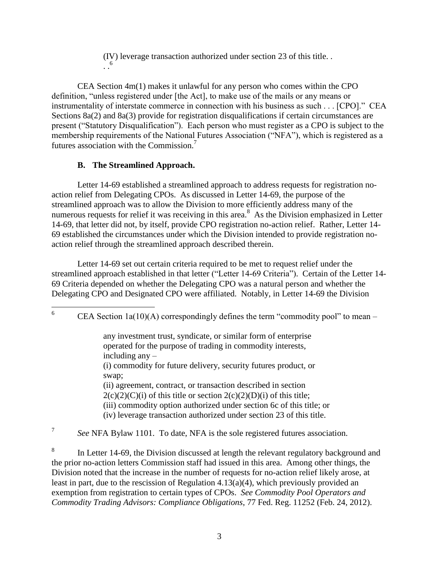(IV) leverage transaction authorized under section [23](http://www.law.cornell.edu/uscode/text/7/23) of this title. .  $\cdot \cdot$ <sup>6</sup>

CEA Section 4m(1) makes it unlawful for any person who comes within the CPO definition, "unless registered under [the Act], to make use of the mails or any means or instrumentality of interstate commerce in connection with his business as such . . . [CPO]." CEA Sections 8a(2) and 8a(3) provide for registration disqualifications if certain circumstances are present ("Statutory Disqualification"). Each person who must register as a CPO is subject to the membership requirements of the National Futures Association ("NFA"), which is registered as a futures association with the Commission.<sup>7</sup>

## **B. The Streamlined Approach.**

Letter 14-69 established a streamlined approach to address requests for registration noaction relief from Delegating CPOs. As discussed in Letter 14-69, the purpose of the streamlined approach was to allow the Division to more efficiently address many of the numerous requests for relief it was receiving in this area.<sup>8</sup> As the Division emphasized in Letter 14-69, that letter did not, by itself, provide CPO registration no-action relief. Rather, Letter 14- 69 established the circumstances under which the Division intended to provide registration noaction relief through the streamlined approach described therein.

Letter 14-69 set out certain criteria required to be met to request relief under the streamlined approach established in that letter ("Letter 14-69 Criteria"). Certain of the Letter 14- 69 Criteria depended on whether the Delegating CPO was a natural person and whether the Delegating CPO and Designated CPO were affiliated. Notably, in Letter 14-69 the Division

 $6\,$ CEA Section  $1a(10)(A)$  correspondingly defines the term "commodity pool" to mean –

> any investment trust, syndicate, or similar form of enterprise operated for the purpose of trading in commodity interests, including any – (i) commodity for future delivery, security futures product, or swap; (ii) agreement, contract, or transaction described in section  $2(c)(2)(C)(i)$  of this title or section  $2(c)(2)(D)(i)$  of this title; (iii) commodity option authorized under section [6c](http://www.law.cornell.edu/uscode/text/7/6c) of this title; or (iv) leverage transaction authorized under section [23](http://www.law.cornell.edu/uscode/text/7/23) of this title.

7 *See* NFA Bylaw 1101. To date, NFA is the sole registered futures association.

8 In Letter 14-69, the Division discussed at length the relevant regulatory background and the prior no-action letters Commission staff had issued in this area. Among other things, the Division noted that the increase in the number of requests for no-action relief likely arose, at least in part, due to the rescission of Regulation 4.13(a)(4), which previously provided an exemption from registration to certain types of CPOs. *See Commodity Pool Operators and Commodity Trading Advisors: Compliance Obligations*, 77 Fed. Reg. 11252 (Feb. 24, 2012).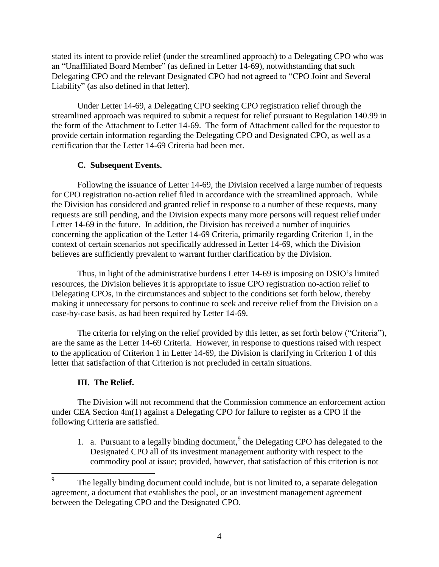stated its intent to provide relief (under the streamlined approach) to a Delegating CPO who was an "Unaffiliated Board Member" (as defined in Letter 14-69), notwithstanding that such Delegating CPO and the relevant Designated CPO had not agreed to "CPO Joint and Several Liability" (as also defined in that letter).

Under Letter 14-69, a Delegating CPO seeking CPO registration relief through the streamlined approach was required to submit a request for relief pursuant to Regulation 140.99 in the form of the Attachment to Letter 14-69. The form of Attachment called for the requestor to provide certain information regarding the Delegating CPO and Designated CPO, as well as a certification that the Letter 14-69 Criteria had been met.

## **C. Subsequent Events.**

Following the issuance of Letter 14-69, the Division received a large number of requests for CPO registration no-action relief filed in accordance with the streamlined approach. While the Division has considered and granted relief in response to a number of these requests, many requests are still pending, and the Division expects many more persons will request relief under Letter 14-69 in the future. In addition, the Division has received a number of inquiries concerning the application of the Letter 14-69 Criteria, primarily regarding Criterion 1, in the context of certain scenarios not specifically addressed in Letter 14-69, which the Division believes are sufficiently prevalent to warrant further clarification by the Division.

Thus, in light of the administrative burdens Letter 14-69 is imposing on DSIO's limited resources, the Division believes it is appropriate to issue CPO registration no-action relief to Delegating CPOs, in the circumstances and subject to the conditions set forth below, thereby making it unnecessary for persons to continue to seek and receive relief from the Division on a case-by-case basis, as had been required by Letter 14-69.

The criteria for relying on the relief provided by this letter, as set forth below ("Criteria"), are the same as the Letter 14-69 Criteria. However, in response to questions raised with respect to the application of Criterion 1 in Letter 14-69, the Division is clarifying in Criterion 1 of this letter that satisfaction of that Criterion is not precluded in certain situations.

# **III. The Relief.**

 $\overline{a}$ 

The Division will not recommend that the Commission commence an enforcement action under CEA Section 4m(1) against a Delegating CPO for failure to register as a CPO if the following Criteria are satisfied.

1. a. Pursuant to a legally binding document, $9$  the Delegating CPO has delegated to the Designated CPO all of its investment management authority with respect to the commodity pool at issue; provided, however, that satisfaction of this criterion is not

<sup>9</sup> The legally binding document could include, but is not limited to, a separate delegation agreement, a document that establishes the pool, or an investment management agreement between the Delegating CPO and the Designated CPO.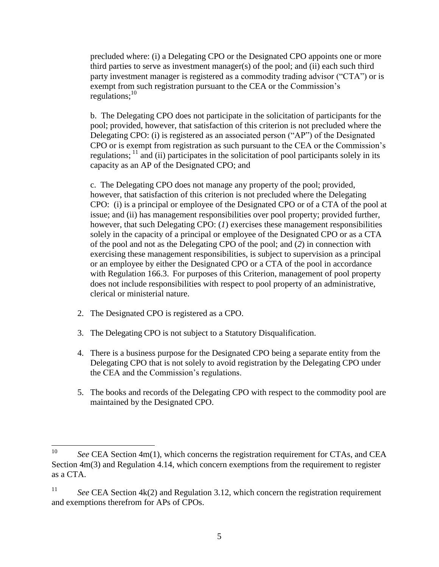precluded where: (i) a Delegating CPO or the Designated CPO appoints one or more third parties to serve as investment manager(s) of the pool; and (ii) each such third party investment manager is registered as a commodity trading advisor ("CTA") or is exempt from such registration pursuant to the CEA or the Commission's regulations; $^{10}$ 

b. The Delegating CPO does not participate in the solicitation of participants for the pool; provided, however, that satisfaction of this criterion is not precluded where the Delegating CPO: (i) is registered as an associated person ("AP") of the Designated CPO or is exempt from registration as such pursuant to the CEA or the Commission's regulations;  $\frac{11}{11}$  and (ii) participates in the solicitation of pool participants solely in its capacity as an AP of the Designated CPO; and

c. The Delegating CPO does not manage any property of the pool; provided, however, that satisfaction of this criterion is not precluded where the Delegating CPO: (i) is a principal or employee of the Designated CPO or of a CTA of the pool at issue; and (ii) has management responsibilities over pool property; provided further, however, that such Delegating CPO: (*1*) exercises these management responsibilities solely in the capacity of a principal or employee of the Designated CPO or as a CTA of the pool and not as the Delegating CPO of the pool; and (*2*) in connection with exercising these management responsibilities, is subject to supervision as a principal or an employee by either the Designated CPO or a CTA of the pool in accordance with Regulation 166.3. For purposes of this Criterion, management of pool property does not include responsibilities with respect to pool property of an administrative, clerical or ministerial nature.

- 2. The Designated CPO is registered as a CPO.
- 3. The Delegating CPO is not subject to a Statutory Disqualification.
- 4. There is a business purpose for the Designated CPO being a separate entity from the Delegating CPO that is not solely to avoid registration by the Delegating CPO under the CEA and the Commission's regulations.
- 5. The books and records of the Delegating CPO with respect to the commodity pool are maintained by the Designated CPO.

<sup>10</sup> See CEA Section 4m(1), which concerns the registration requirement for CTAs, and CEA Section 4m(3) and Regulation 4.14, which concern exemptions from the requirement to register as a CTA.

<sup>&</sup>lt;sup>11</sup> *See* CEA Section 4k(2) and Regulation 3.12, which concern the registration requirement and exemptions therefrom for APs of CPOs.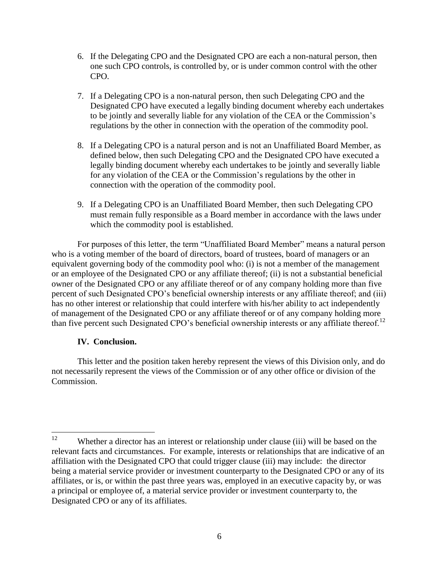- 6. If the Delegating CPO and the Designated CPO are each a non-natural person, then one such CPO controls, is controlled by, or is under common control with the other CPO.
- 7. If a Delegating CPO is a non-natural person, then such Delegating CPO and the Designated CPO have executed a legally binding document whereby each undertakes to be jointly and severally liable for any violation of the CEA or the Commission's regulations by the other in connection with the operation of the commodity pool.
- 8. If a Delegating CPO is a natural person and is not an Unaffiliated Board Member, as defined below, then such Delegating CPO and the Designated CPO have executed a legally binding document whereby each undertakes to be jointly and severally liable for any violation of the CEA or the Commission's regulations by the other in connection with the operation of the commodity pool.
- 9. If a Delegating CPO is an Unaffiliated Board Member, then such Delegating CPO must remain fully responsible as a Board member in accordance with the laws under which the commodity pool is established.

For purposes of this letter, the term "Unaffiliated Board Member" means a natural person who is a voting member of the board of directors, board of trustees, board of managers or an equivalent governing body of the commodity pool who: (i) is not a member of the management or an employee of the Designated CPO or any affiliate thereof; (ii) is not a substantial beneficial owner of the Designated CPO or any affiliate thereof or of any company holding more than five percent of such Designated CPO's beneficial ownership interests or any affiliate thereof; and (iii) has no other interest or relationship that could interfere with his/her ability to act independently of management of the Designated CPO or any affiliate thereof or of any company holding more than five percent such Designated CPO's beneficial ownership interests or any affiliate thereof.<sup>12</sup>

### **IV. Conclusion.**

This letter and the position taken hereby represent the views of this Division only, and do not necessarily represent the views of the Commission or of any other office or division of the Commission.

<sup>12</sup> Whether a director has an interest or relationship under clause (iii) will be based on the relevant facts and circumstances. For example, interests or relationships that are indicative of an affiliation with the Designated CPO that could trigger clause (iii) may include: the director being a material service provider or investment counterparty to the Designated CPO or any of its affiliates, or is, or within the past three years was, employed in an executive capacity by, or was a principal or employee of, a material service provider or investment counterparty to, the Designated CPO or any of its affiliates.